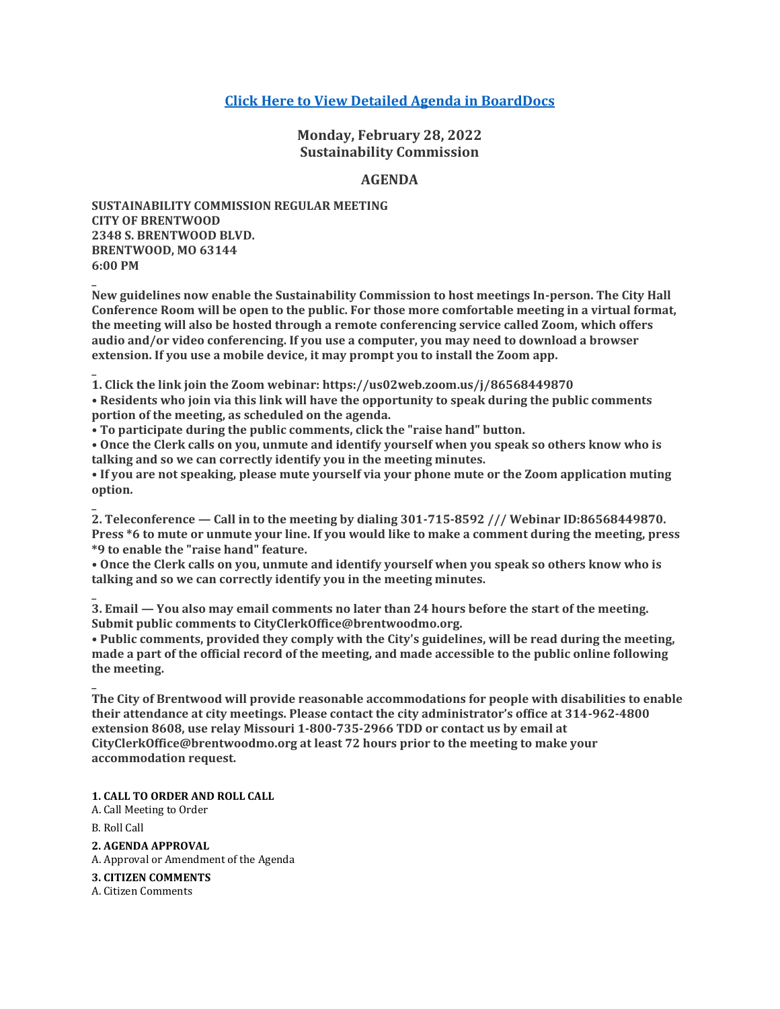# **[Click Here to View Detailed Agenda in BoardDocs](http://go.boarddocs.com/mo/cob/Board.nsf/goto?open&id=C9HTEX71F8AE)**

**Monday, February 28, 2022 Sustainability Commission**

## **AGENDA**

**SUSTAINABILITY COMMISSION REGULAR MEETING CITY OF BRENTWOOD 2348 S. BRENTWOOD BLVD. BRENTWOOD, MO 63144 6:00 PM**

**New guidelines now enable the Sustainability Commission to host meetings In-person. The City Hall Conference Room will be open to the public. For those more comfortable meeting in a virtual format, the meeting will also be hosted through a remote conferencing service called Zoom, which offers audio and/or video conferencing. If you use a computer, you may need to download a browser extension. If you use a mobile device, it may prompt you to install the Zoom app.**

**\_ 1. Click the link join the Zoom webinar: https://us02web.zoom.us/j/86568449870**

**• Residents who join via this link will have the opportunity to speak during the public comments portion of the meeting, as scheduled on the agenda.**

**• To participate during the public comments, click the "raise hand" button.**

**• Once the Clerk calls on you, unmute and identify yourself when you speak so others know who is talking and so we can correctly identify you in the meeting minutes.**

**• If you are not speaking, please mute yourself via your phone mute or the Zoom application muting option.**

**2. Teleconference — Call in to the meeting by dialing 301-715-8592 /// Webinar ID:86568449870. Press \*6 to mute or unmute your line. If you would like to make a comment during the meeting, press \*9 to enable the "raise hand" feature.**

**• Once the Clerk calls on you, unmute and identify yourself when you speak so others know who is talking and so we can correctly identify you in the meeting minutes.**

**3. Email — You also may email comments no later than 24 hours before the start of the meeting. Submit public comments to CityClerkOffice@brentwoodmo.org.**

**• Public comments, provided they comply with the City's guidelines, will be read during the meeting, made a part of the official record of the meeting, and made accessible to the public online following the meeting.**

**\_ The City of Brentwood will provide reasonable accommodations for people with disabilities to enable their attendance at city meetings. Please contact the city administrator's office at 314-962-4800 extension 8608, use relay Missouri 1-800-735-2966 TDD or contact us by email at CityClerkOffice@brentwoodmo.org at least 72 hours prior to the meeting to make your accommodation request.**

**1. CALL TO ORDER AND ROLL CALL**

A. Call Meeting to Order

B. Roll Call

**\_**

**\_**

**\_**

**2. AGENDA APPROVAL** A. Approval or Amendment of the Agenda

**3. CITIZEN COMMENTS**

A. Citizen Comments